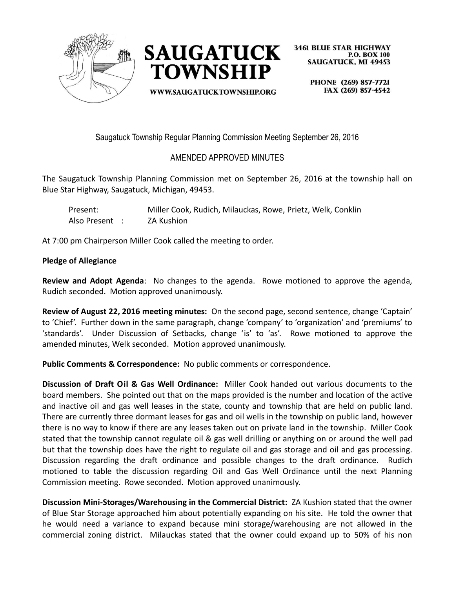



WWW.SAUGATUCKTOWNSHIP.ORG

**3461 BLUE STAR HIGHWAY P.O. BOX 100 SAUGATUCK, MI 49453** 

> PHONE (269) 857-7721 FAX (269) 857-4542

Saugatuck Township Regular Planning Commission Meeting September 26, 2016

## AMENDED APPROVED MINUTES

The Saugatuck Township Planning Commission met on September 26, 2016 at the township hall on Blue Star Highway, Saugatuck, Michigan, 49453.

| Present:       | Miller Cook, Rudich, Milauckas, Rowe, Prietz, Welk, Conklin |
|----------------|-------------------------------------------------------------|
| Also Present : | ZA Kushion                                                  |

At 7:00 pm Chairperson Miller Cook called the meeting to order.

## **Pledge of Allegiance**

**Review and Adopt Agenda**: No changes to the agenda. Rowe motioned to approve the agenda, Rudich seconded. Motion approved unanimously.

**Review of August 22, 2016 meeting minutes:** On the second page, second sentence, change 'Captain' to 'Chief'. Further down in the same paragraph, change 'company' to 'organization' and 'premiums' to 'standards'. Under Discussion of Setbacks, change 'is' to 'as'. Rowe motioned to approve the amended minutes, Welk seconded. Motion approved unanimously.

**Public Comments & Correspondence:** No public comments or correspondence.

**Discussion of Draft Oil & Gas Well Ordinance:** Miller Cook handed out various documents to the board members. She pointed out that on the maps provided is the number and location of the active and inactive oil and gas well leases in the state, county and township that are held on public land. There are currently three dormant leases for gas and oil wells in the township on public land, however there is no way to know if there are any leases taken out on private land in the township. Miller Cook stated that the township cannot regulate oil & gas well drilling or anything on or around the well pad but that the township does have the right to regulate oil and gas storage and oil and gas processing. Discussion regarding the draft ordinance and possible changes to the draft ordinance. Rudich motioned to table the discussion regarding Oil and Gas Well Ordinance until the next Planning Commission meeting. Rowe seconded. Motion approved unanimously.

**Discussion Mini-Storages/Warehousing in the Commercial District:** ZA Kushion stated that the owner of Blue Star Storage approached him about potentially expanding on his site. He told the owner that he would need a variance to expand because mini storage/warehousing are not allowed in the commercial zoning district. Milauckas stated that the owner could expand up to 50% of his non